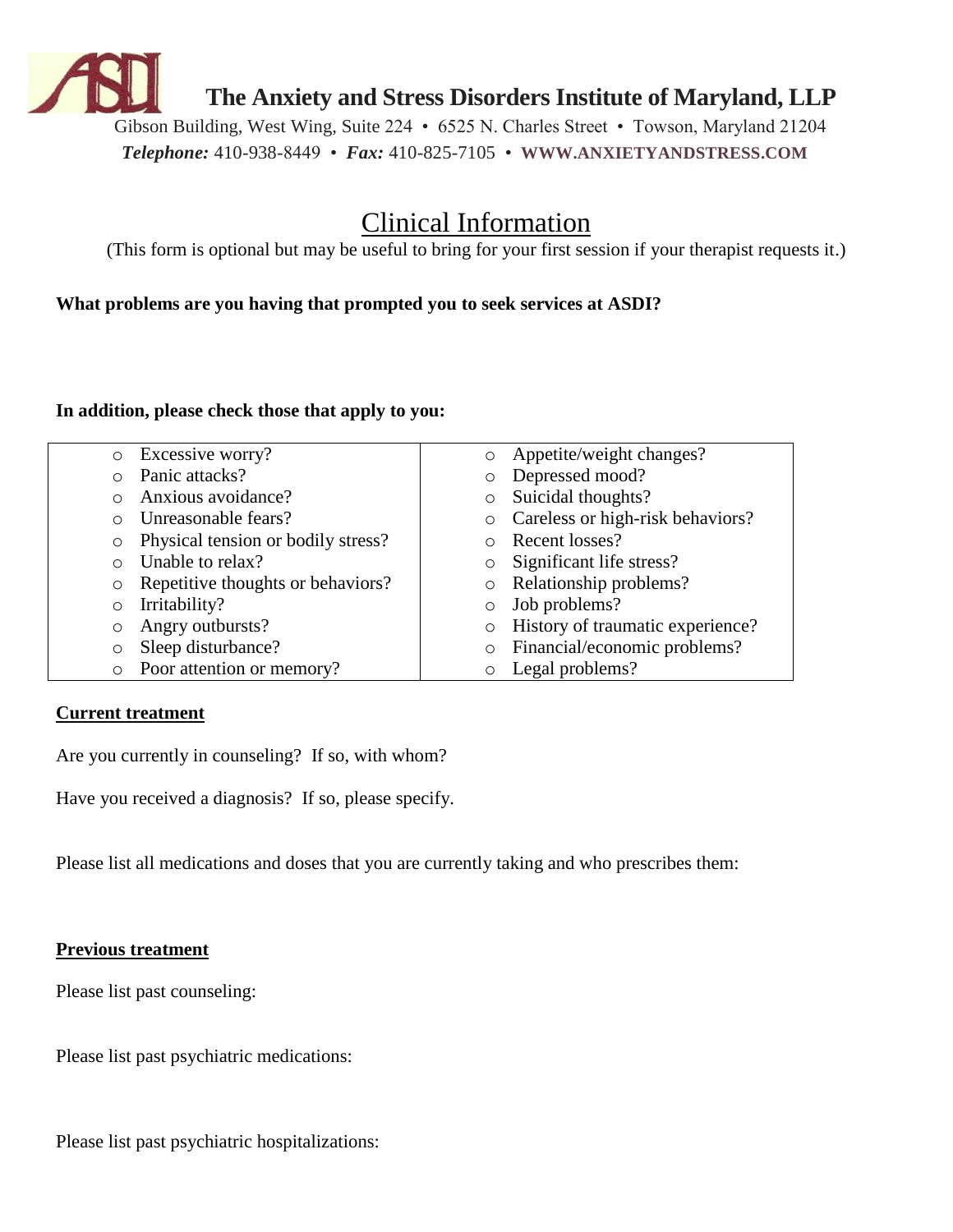

**The Anxiety and Stress Disorders Institute of Maryland, LLP**

Gibson Building, West Wing, Suite 224 • 6525 N. Charles Street • Towson, Maryland 21204 *Telephone:* 410-938-8449 • *Fax:* 410-825-7105 • **WWW.ANXIETYANDSTRESS.COM**

# Clinical Information

(This form is optional but may be useful to bring for your first session if your therapist requests it.)

**What problems are you having that prompted you to seek services at ASDI?**

## **In addition, please check those that apply to you:**

| $\circ$    | Excessive worry?                   | $\circ$ | Appetite/weight changes?         |
|------------|------------------------------------|---------|----------------------------------|
| $\bigcirc$ | Panic attacks?                     | O       | Depressed mood?                  |
| ∩          | Anxious avoidance?                 | O       | Suicidal thoughts?               |
| $\bigcirc$ | Unreasonable fears?                | $\circ$ | Careless or high-risk behaviors? |
| $\circ$    | Physical tension or bodily stress? |         | Recent losses?                   |
| $\bigcirc$ | Unable to relax?                   | $\circ$ | Significant life stress?         |
| $\circ$    | Repetitive thoughts or behaviors?  | $\circ$ | Relationship problems?           |
| $\circ$    | Irritability?                      | $\circ$ | Job problems?                    |
| $\circ$    | Angry outbursts?                   | $\circ$ | History of traumatic experience? |
| $\circ$    | Sleep disturbance?                 | O       | Financial/economic problems?     |
| $\circ$    | Poor attention or memory?          |         | Legal problems?                  |

## **Current treatment**

Are you currently in counseling? If so, with whom?

Have you received a diagnosis? If so, please specify.

Please list all medications and doses that you are currently taking and who prescribes them:

## **Previous treatment**

Please list past counseling:

Please list past psychiatric medications:

Please list past psychiatric hospitalizations: